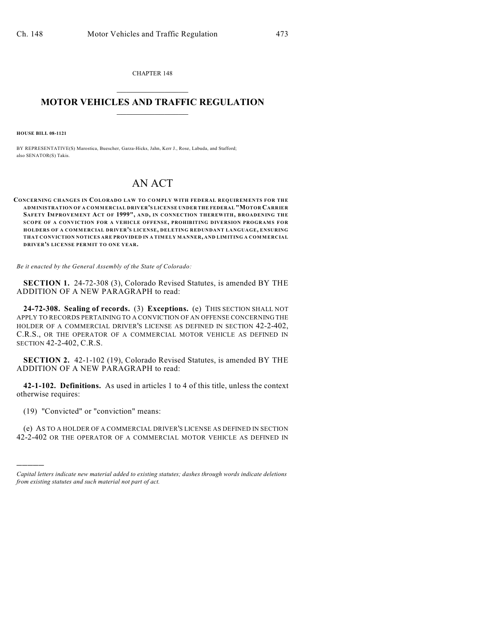CHAPTER 148  $\mathcal{L}_\text{max}$  . The set of the set of the set of the set of the set of the set of the set of the set of the set of the set of the set of the set of the set of the set of the set of the set of the set of the set of the set

## **MOTOR VEHICLES AND TRAFFIC REGULATION**  $\frac{1}{2}$  ,  $\frac{1}{2}$  ,  $\frac{1}{2}$  ,  $\frac{1}{2}$  ,  $\frac{1}{2}$  ,  $\frac{1}{2}$  ,  $\frac{1}{2}$  ,  $\frac{1}{2}$

**HOUSE BILL 08-1121**

BY REPRESENTATIVE(S) Marostica, Buescher, Garza-Hicks, Jahn, Kerr J., Rose, Labuda, and Stafford; also SENATOR(S) Takis.

## AN ACT

**CONCERNING CHANGES IN COLORADO LAW TO COMPLY WITH FEDERAL REQUIREMENTS FOR THE ADMINISTRATION OF A COMMERCIAL DRIVER'S LICENSE UNDER THE FEDERAL "MOTOR CARRIER SAFETY IMPROVEMENT ACT OF 1999", AND, IN CONNECTION THEREWITH, BROADENING THE SCOPE OF A CONVICTION FOR A VEHICLE OFFENSE, PROHIBITING DIVERSION PROGRAMS FOR HOLDERS OF A COMMERCIAL DRIVER'S LICENSE, DELETING REDUNDANT LANGUAGE, ENSURING THAT CONVICTION NOTICES ARE PROVIDED IN A TIMELY MANNER, AND LIMITING A COMMERCIAL DRIVER'S LICENSE PERMIT TO ONE YEAR.**

*Be it enacted by the General Assembly of the State of Colorado:*

**SECTION 1.** 24-72-308 (3), Colorado Revised Statutes, is amended BY THE ADDITION OF A NEW PARAGRAPH to read:

**24-72-308. Sealing of records.** (3) **Exceptions.** (e) THIS SECTION SHALL NOT APPLY TO RECORDS PERTAINING TO A CONVICTION OF AN OFFENSE CONCERNING THE HOLDER OF A COMMERCIAL DRIVER'S LICENSE AS DEFINED IN SECTION 42-2-402, C.R.S., OR THE OPERATOR OF A COMMERCIAL MOTOR VEHICLE AS DEFINED IN SECTION 42-2-402, C.R.S.

**SECTION 2.** 42-1-102 (19), Colorado Revised Statutes, is amended BY THE ADDITION OF A NEW PARAGRAPH to read:

**42-1-102. Definitions.** As used in articles 1 to 4 of this title, unless the context otherwise requires:

(19) "Convicted" or "conviction" means:

)))))

(e) AS TO A HOLDER OF A COMMERCIAL DRIVER'S LICENSE AS DEFINED IN SECTION 42-2-402 OR THE OPERATOR OF A COMMERCIAL MOTOR VEHICLE AS DEFINED IN

*Capital letters indicate new material added to existing statutes; dashes through words indicate deletions from existing statutes and such material not part of act.*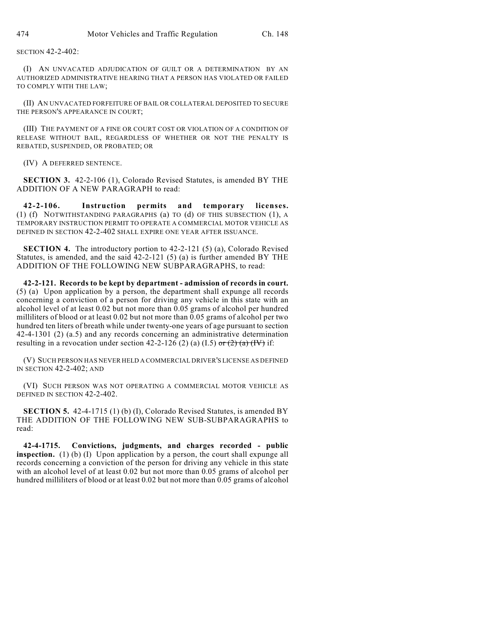SECTION 42-2-402:

(I) AN UNVACATED ADJUDICATION OF GUILT OR A DETERMINATION BY AN AUTHORIZED ADMINISTRATIVE HEARING THAT A PERSON HAS VIOLATED OR FAILED TO COMPLY WITH THE LAW;

(II) AN UNVACATED FORFEITURE OF BAIL OR COLLATERAL DEPOSITED TO SECURE THE PERSON'S APPEARANCE IN COURT;

(III) THE PAYMENT OF A FINE OR COURT COST OR VIOLATION OF A CONDITION OF RELEASE WITHOUT BAIL, REGARDLESS OF WHETHER OR NOT THE PENALTY IS REBATED, SUSPENDED, OR PROBATED; OR

(IV) A DEFERRED SENTENCE.

**SECTION 3.** 42-2-106 (1), Colorado Revised Statutes, is amended BY THE ADDITION OF A NEW PARAGRAPH to read:

**42-2-106. Instruction permits and temporary licenses.** (1) (f) NOTWITHSTANDING PARAGRAPHS (a) TO (d) OF THIS SUBSECTION (1), A TEMPORARY INSTRUCTION PERMIT TO OPERATE A COMMERCIAL MOTOR VEHICLE AS DEFINED IN SECTION 42-2-402 SHALL EXPIRE ONE YEAR AFTER ISSUANCE.

**SECTION 4.** The introductory portion to 42-2-121 (5) (a), Colorado Revised Statutes, is amended, and the said  $42-2-121$  (5) (a) is further amended BY THE ADDITION OF THE FOLLOWING NEW SUBPARAGRAPHS, to read:

**42-2-121. Records to be kept by department - admission of records in court.** (5) (a) Upon application by a person, the department shall expunge all records concerning a conviction of a person for driving any vehicle in this state with an alcohol level of at least 0.02 but not more than 0.05 grams of alcohol per hundred milliliters of blood or at least 0.02 but not more than 0.05 grams of alcohol per two hundred ten liters of breath while under twenty-one years of age pursuant to section 42-4-1301 (2) (a.5) and any records concerning an administrative determination resulting in a revocation under section  $42-2-126$  (2) (a) (I.5) or (2) (a) (IV) if:

(V) SUCH PERSON HAS NEVER HELD A COMMERCIAL DRIVER'S LICENSE AS DEFINED IN SECTION 42-2-402; AND

(VI) SUCH PERSON WAS NOT OPERATING A COMMERCIAL MOTOR VEHICLE AS DEFINED IN SECTION 42-2-402.

**SECTION 5.** 42-4-1715 (1) (b) (I), Colorado Revised Statutes, is amended BY THE ADDITION OF THE FOLLOWING NEW SUB-SUBPARAGRAPHS to read:

**42-4-1715. Convictions, judgments, and charges recorded - public inspection.** (1) (b) (I) Upon application by a person, the court shall expunge all records concerning a conviction of the person for driving any vehicle in this state with an alcohol level of at least 0.02 but not more than 0.05 grams of alcohol per hundred milliliters of blood or at least 0.02 but not more than 0.05 grams of alcohol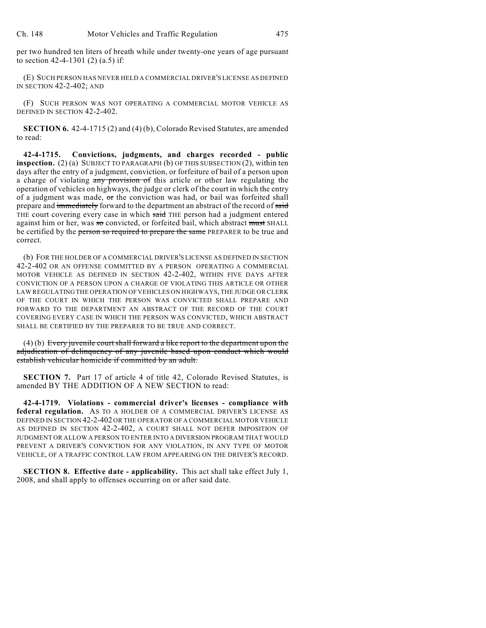per two hundred ten liters of breath while under twenty-one years of age pursuant to section 42-4-1301 (2) (a.5) if:

(E) SUCH PERSON HAS NEVER HELD A COMMERCIAL DRIVER'S LICENSE AS DEFINED IN SECTION 42-2-402; AND

(F) SUCH PERSON WAS NOT OPERATING A COMMERCIAL MOTOR VEHICLE AS DEFINED IN SECTION 42-2-402.

**SECTION 6.** 42-4-1715 (2) and (4) (b), Colorado Revised Statutes, are amended to read:

**42-4-1715. Convictions, judgments, and charges recorded - public inspection.** (2) (a) SUBJECT TO PARAGRAPH (b) OF THIS SUBSECTION (2), within ten days after the entry of a judgment, conviction, or forfeiture of bail of a person upon a charge of violating any provision of this article or other law regulating the operation of vehicles on highways, the judge or clerk of the court in which the entry of a judgment was made,  $\sigma$ r the conviction was had, or bail was forfeited shall prepare and immediately forward to the department an abstract of the record of said THE court covering every case in which said THE person had a judgment entered against him or her, was so convicted, or forfeited bail, which abstract must SHALL be certified by the person so required to prepare the same PREPARER to be true and correct.

(b) FOR THE HOLDER OF A COMMERCIAL DRIVER'S LICENSE AS DEFINED IN SECTION 42-2-402 OR AN OFFENSE COMMITTED BY A PERSON OPERATING A COMMERCIAL MOTOR VEHICLE AS DEFINED IN SECTION 42-2-402, WITHIN FIVE DAYS AFTER CONVICTION OF A PERSON UPON A CHARGE OF VIOLATING THIS ARTICLE OR OTHER LAW REGULATING THE OPERATION OF VEHICLES ON HIGHWAYS, THE JUDGE OR CLERK OF THE COURT IN WHICH THE PERSON WAS CONVICTED SHALL PREPARE AND FORWARD TO THE DEPARTMENT AN ABSTRACT OF THE RECORD OF THE COURT COVERING EVERY CASE IN WHICH THE PERSON WAS CONVICTED, WHICH ABSTRACT SHALL BE CERTIFIED BY THE PREPARER TO BE TRUE AND CORRECT.

(4) (b) Every juvenile court shall forward a like report to the department upon the adjudication of delinquency of any juvenile based upon conduct which would establish vehicular homicide if committed by an adult.

**SECTION 7.** Part 17 of article 4 of title 42, Colorado Revised Statutes, is amended BY THE ADDITION OF A NEW SECTION to read:

**42-4-1719. Violations - commercial driver's licenses - compliance with federal regulation.** AS TO A HOLDER OF A COMMERCIAL DRIVER'S LICENSE AS DEFINED IN SECTION 42-2-402 OR THE OPERATOR OF A COMMERCIAL MOTOR VEHICLE AS DEFINED IN SECTION 42-2-402, A COURT SHALL NOT DEFER IMPOSITION OF JUDGMENT OR ALLOW A PERSON TO ENTER INTO A DIVERSION PROGRAM THAT WOULD PREVENT A DRIVER'S CONVICTION FOR ANY VIOLATION, IN ANY TYPE OF MOTOR VEHICLE, OF A TRAFFIC CONTROL LAW FROM APPEARING ON THE DRIVER'S RECORD.

**SECTION 8. Effective date - applicability.** This act shall take effect July 1, 2008, and shall apply to offenses occurring on or after said date.